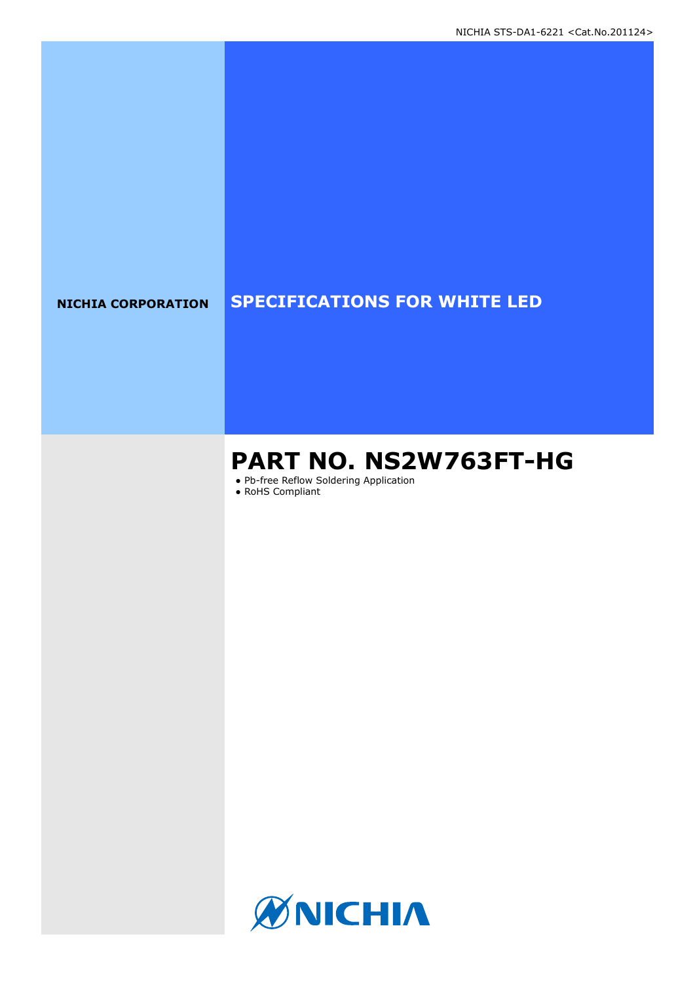# **NICHIA CORPORATION SPECIFICATIONS FOR WHITE LED**

# **PART NO. NS2W763FT-HG**

● Pb-free Reflow Soldering Application

● RoHS Compliant

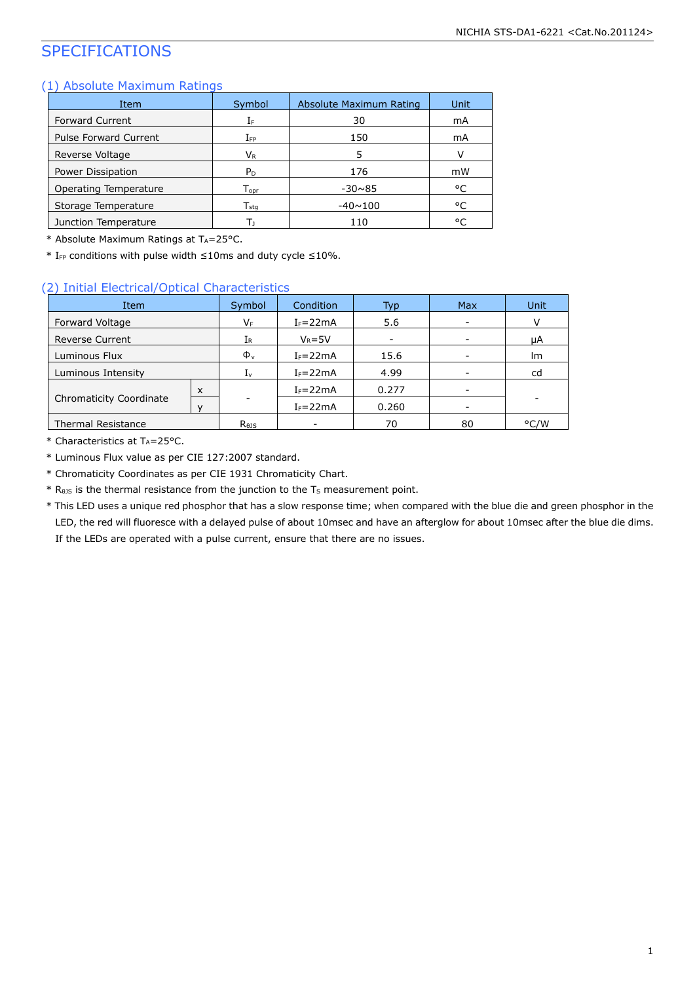# SPECIFICATIONS

### (1) Absolute Maximum Ratings

| Item                         | Symbol                      | Absolute Maximum Rating | Unit |
|------------------------------|-----------------------------|-------------------------|------|
| <b>Forward Current</b>       | ΙF                          | 30                      | mA   |
| <b>Pulse Forward Current</b> | $I_{\mathsf{FP}}$           | 150                     | mA   |
| Reverse Voltage              | Vr                          | 5                       | v    |
| Power Dissipation            | P <sub>D</sub>              | 176                     | mW   |
| Operating Temperature        | $\mathsf{T}_{\mathsf{opr}}$ | $-30\nu 85$             | °C   |
| Storage Temperature          | $\mathsf{T}_{\mathsf{stq}}$ | $-40 \sim 100$          | ۰c   |
| Junction Temperature         | Г۱                          | 110                     | °C   |

\* Absolute Maximum Ratings at TA=25°C.

 $*$  I<sub>FP</sub> conditions with pulse width ≤10ms and duty cycle ≤10%.

### (2) Initial Electrical/Optical Characteristics

| Item                           |   | Symbol                     | <b>Condition</b> | Typ.  | <b>Max</b> | Unit |
|--------------------------------|---|----------------------------|------------------|-------|------------|------|
| Forward Voltage                |   | VF                         | $I_F = 22mA$     | 5.6   |            |      |
| <b>Reverse Current</b>         |   | IR                         | $V_R = 5V$       |       |            | μA   |
| Luminous Flux                  |   | $\Phi_{v}$                 | $I_F = 22mA$     | 15.6  |            | Im   |
| Luminous Intensity             |   | $I_{\nu}$                  | $I_F = 22mA$     | 4.99  |            | cd   |
|                                | X |                            | $I_F = 22mA$     | 0.277 |            |      |
| <b>Chromaticity Coordinate</b> |   |                            | $I_F = 22mA$     | 0.260 |            |      |
| <b>Thermal Resistance</b>      |   | $R_{\theta}$ <sub>15</sub> | ۰                | 70    | 80         | °C/W |

 $*$  Characteristics at T<sub>A</sub>=25°C.

\* Luminous Flux value as per CIE 127:2007 standard.

\* Chromaticity Coordinates as per CIE 1931 Chromaticity Chart.

 $*$  R<sub>0JS</sub> is the thermal resistance from the junction to the T<sub>S</sub> measurement point.

\* This LED uses a unique red phosphor that has a slow response time; when compared with the blue die and green phosphor in the LED, the red will fluoresce with a delayed pulse of about 10msec and have an afterglow for about 10msec after the blue die dims. If the LEDs are operated with a pulse current, ensure that there are no issues.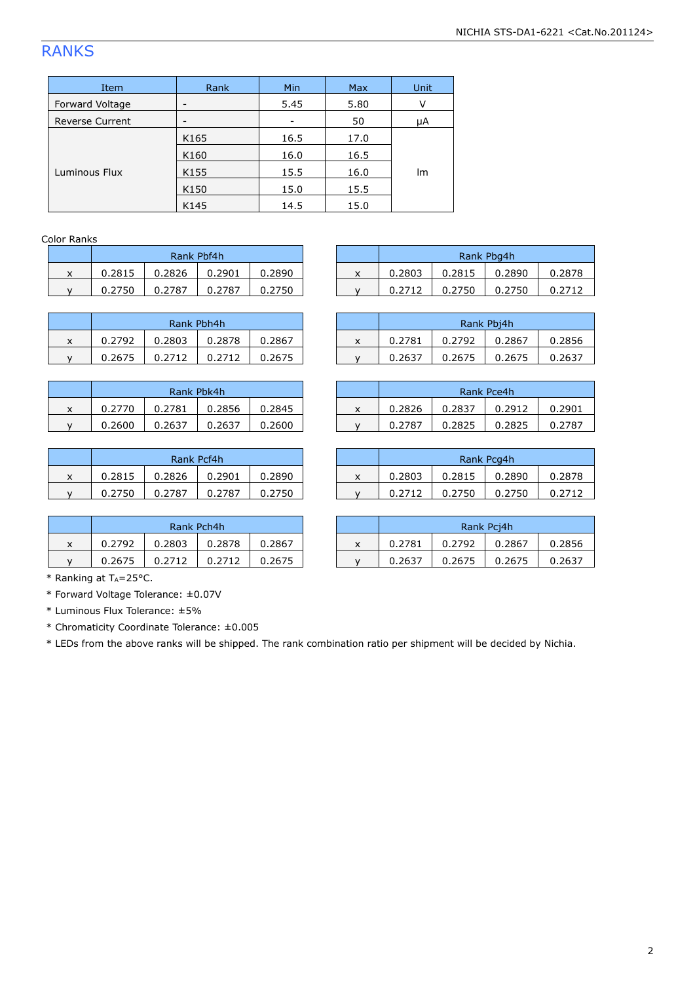# RANKS

| Item                   | Rank | Min  | Max  | Unit |  |
|------------------------|------|------|------|------|--|
| Forward Voltage        | -    | 5.45 | 5.80 | v    |  |
| <b>Reverse Current</b> | -    |      | 50   | μA   |  |
|                        | K165 | 16.5 | 17.0 |      |  |
|                        | K160 | 16.0 | 16.5 |      |  |
| Luminous Flux          | K155 | 15.5 | 16.0 | lm   |  |
|                        | K150 | 15.0 | 15.5 |      |  |
|                        | K145 | 14.5 | 15.0 |      |  |

### Color Ranks

| Rank Pbf4h |  |  |  |  |  |  |  |  |
|------------|--|--|--|--|--|--|--|--|
| 0.2890     |  |  |  |  |  |  |  |  |
| 0.2750     |  |  |  |  |  |  |  |  |
|            |  |  |  |  |  |  |  |  |

| Rank Pbh4h |        |        |        |  |  |  |  |  |
|------------|--------|--------|--------|--|--|--|--|--|
| 0.2792     | 0.2803 | 0.2878 | 0.2867 |  |  |  |  |  |
| 0.2675     | 0.2712 | 0.2712 | 0.2675 |  |  |  |  |  |

|   | Rank Pbk4h |        |        |        |  |  |  |  |  |
|---|------------|--------|--------|--------|--|--|--|--|--|
| x | 0.2770     | 0.2781 | 0.2856 | 0.2845 |  |  |  |  |  |
|   | 0.2600     | 0.2637 | 0.2637 | 0.2600 |  |  |  |  |  |

| Rank Pcf4h |        |        |        |  |  |  |  |  |
|------------|--------|--------|--------|--|--|--|--|--|
| 0.2815     | 0.2826 | 0.2901 |        |  |  |  |  |  |
| 0.2750     | 0.2787 | 0.2787 | 0.2750 |  |  |  |  |  |

|   | Rank Pch4h |        |        |        |  |  |  |  |
|---|------------|--------|--------|--------|--|--|--|--|
| x | 0.2792     | 0.2803 | 0.2878 | 0.2867 |  |  |  |  |
|   | 0.2675     | 0.2712 | 0.2712 | 0.2675 |  |  |  |  |

|        | Rank Pbf4h |        |        |        |  |                | Rank Pbg4h |        |        |        |
|--------|------------|--------|--------|--------|--|----------------|------------|--------|--------|--------|
| v<br>^ | 0.2815     | 0.2826 | 0.2901 | 0.2890 |  | v<br>$\lambda$ | 0.2803     | 0.2815 | 0.2890 | 0.2878 |
|        | 0.2750     | 0.2787 | 0.2787 | 0.2750 |  |                | 0.2712     | 0.2750 | 0.2750 | 0.2712 |
|        |            |        |        |        |  |                |            |        |        |        |

|   | Rank Pbh4h |        |        |        |                |        |        | Rank Pbj4h |        |
|---|------------|--------|--------|--------|----------------|--------|--------|------------|--------|
| x | 0.2792     | 0.2803 | 0.2878 | 0.2867 | $\lambda$<br>л | 0.2781 | 0.2792 | 0.2867     | 0.2856 |
|   | 0.2675     | 0.2712 |        | 0.2675 |                | 0.263  | 0.2675 | 0.2675     | 0.2637 |

|        | Rank Pbk4h |        |        |        |  |   |        |        | Rank Pce4h |        |
|--------|------------|--------|--------|--------|--|---|--------|--------|------------|--------|
| v<br>^ | 0.2770     | 0.2781 | 0.2856 | 0.2845 |  | ́ | 0.2826 | 0.2837 | 0.2912     | 0.2901 |
|        | 0.2600     | 0.2637 | 0.2637 | 0.2600 |  |   | 0.2787 | 0.2825 | 0.2825     | 0.2787 |

|        | Rank Pcf4h |        |        |        |  |        |        | Rank Pcg4h |        |
|--------|------------|--------|--------|--------|--|--------|--------|------------|--------|
| v<br>^ | 0.2815     | 0.2826 | 0.2901 | 0.2890 |  | 0.2803 | 0.2815 | 0.2890     | 0.2878 |
|        | 0.2750     | 0.2787 | 0.2787 | 0.2750 |  | 0.2712 | 0.2750 | 0.2750     | 0.2712 |

|        | Rank Pch4h |        |        |        | Rank Pci4h |        |        |        |        |
|--------|------------|--------|--------|--------|------------|--------|--------|--------|--------|
| v<br>^ | 0.2792     | 0.2803 | 0.2878 | 0.2867 |            | 0.2781 | 0.2792 | 0.2867 | 0.2856 |
|        | 0.2675     | 0.2712 |        | 0.2675 |            | 0.2637 | 0.2675 | 0.2675 | 0.2637 |

 $*$  Ranking at TA=25°C.

\* Forward Voltage Tolerance: ±0.07V

\* Luminous Flux Tolerance: ±5%

\* Chromaticity Coordinate Tolerance: ±0.005

\* LEDs from the above ranks will be shipped. The rank combination ratio per shipment will be decided by Nichia.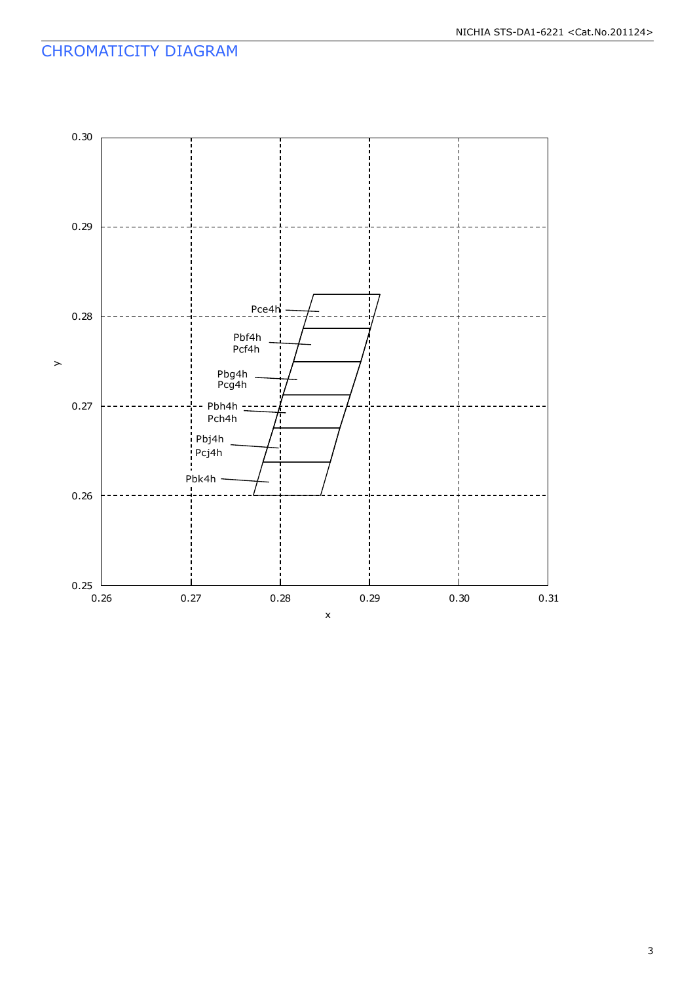# CHROMATICITY DIAGRAM

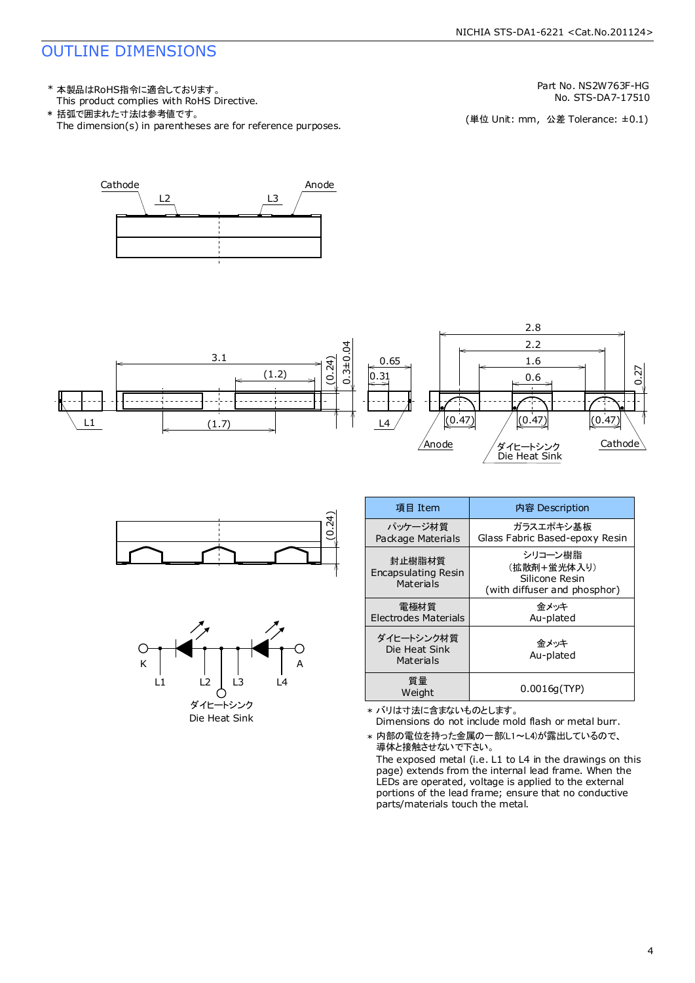# OUTLINE DIMENSIONS

This product complies with RoHS Directive. \* 本製品はRoHS指令に適合しております。

The dimension(s) in parentheses are for reference purposes. \* 括弧で囲まれた寸法は参考値です。

Part No. NS2W763F-HG

No. STS-DA7-17510<br>(単位 Unit: mm,公差 Tolerance: ±0.1)









| 項目 Item                                    | 内容 Description                                                           |  |  |
|--------------------------------------------|--------------------------------------------------------------------------|--|--|
| パッケージ材質<br>Package Materials               | ガラスエポキシ基板<br>Glass Fabric Based-epoxy Resin                              |  |  |
| 封止樹脂材質<br>Encapsulating Resin<br>Materials | シリコーン樹脂<br>(拡散剤+蛍光体入り)<br>Silicone Resin<br>(with diffuser and phosphor) |  |  |
| 電極材質<br>Electrodes Materials               | 金メッキ<br>Au-plated                                                        |  |  |
| ダイヒートシンク材質<br>Die Heat Sink<br>Materials   | 金メッキ<br>Au-plated                                                        |  |  |
| 質量<br>Weight                               | 0.0016q(TYP)                                                             |  |  |

\* バリは寸法に含まないものとします。

Dimensions do not include mold flash or metal burr.

\* 内部の電位を持った金属の一部(L1~L4)が露出しているので、 導体と接触させないで下さい。

The exposed metal (i.e. L1 to L4 in the drawings on this page) extends from the internal lead frame. When the LEDs are operated, voltage is applied to the external portions of the lead frame; ensure that no conductive parts/materials touch the metal.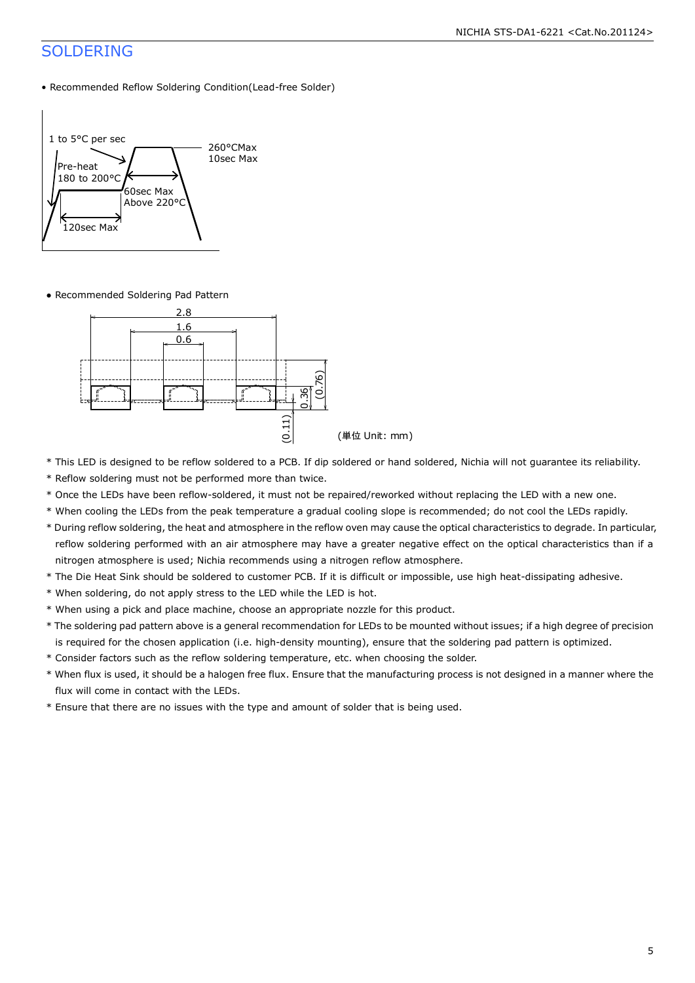# SOLDERING

• Recommended Reflow Soldering Condition(Lead-free Solder)



● Recommended Soldering Pad Pattern



- \* This LED is designed to be reflow soldered to a PCB. If dip soldered or hand soldered, Nichia will not guarantee its reliability.
- \* Reflow soldering must not be performed more than twice.
- \* Once the LEDs have been reflow-soldered, it must not be repaired/reworked without replacing the LED with a new one.
- \* When cooling the LEDs from the peak temperature a gradual cooling slope is recommended; do not cool the LEDs rapidly.
- \* During reflow soldering, the heat and atmosphere in the reflow oven may cause the optical characteristics to degrade. In particular, reflow soldering performed with an air atmosphere may have a greater negative effect on the optical characteristics than if a nitrogen atmosphere is used; Nichia recommends using a nitrogen reflow atmosphere.
- \* The Die Heat Sink should be soldered to customer PCB. If it is difficult or impossible, use high heat-dissipating adhesive.
- \* When soldering, do not apply stress to the LED while the LED is hot.
- \* When using a pick and place machine, choose an appropriate nozzle for this product.
- \* The soldering pad pattern above is a general recommendation for LEDs to be mounted without issues; if a high degree of precision is required for the chosen application (i.e. high-density mounting), ensure that the soldering pad pattern is optimized.
- \* Consider factors such as the reflow soldering temperature, etc. when choosing the solder.
- \* When flux is used, it should be a halogen free flux. Ensure that the manufacturing process is not designed in a manner where the flux will come in contact with the LEDs.
- \* Ensure that there are no issues with the type and amount of solder that is being used.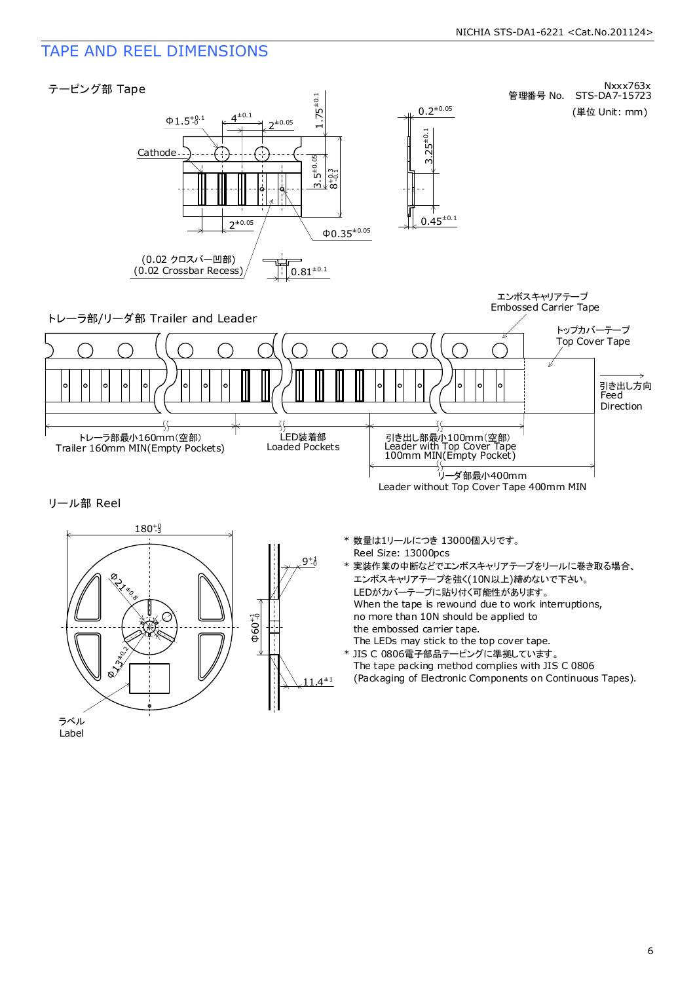# TAPE AND REEL DIMENSIONS



 $11.4^{\pm 1}$ 

no more than 10N should be applied to the embossed carrier tape.

The LEDs may stick to the top cover tape. \* JIS C 0806電子部品テーピングに準拠しています。 The tape packing method complies with JIS C 0806 (Packaging of Electronic Components on Continuous Tapes).

ラベル Label **ONTINICIAL**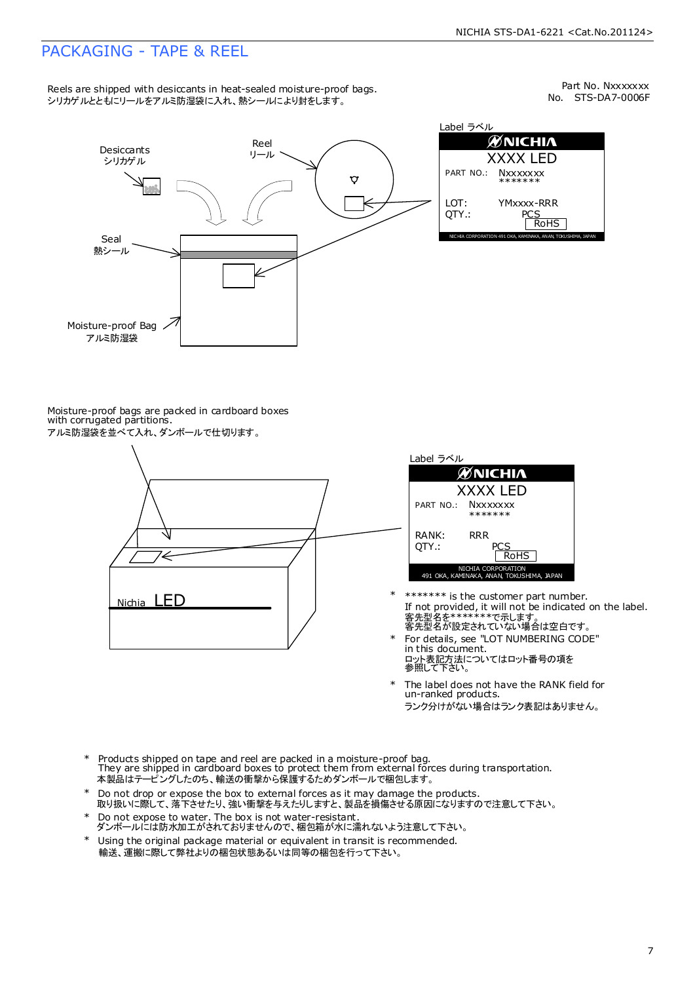# PACKAGING - TAPE & REEL

Reels are shipped with desiccants in heat-sealed moisture-proof bags. シリカゲルとともにリールをアルミ防湿袋に入れ、熱シールにより封をします。

No. STS-DA7-0006F Part No. Nxxxxxxx



Moisture-proof bags are packed in cardboard boxes with corrugated partitions.





- 客先型名を\*\*\*\*\*\*\*\*で示します。<br>客先型名が設定されていない場合は空白です。 If not provided, it will not be indicated on the label. \*\*\*\*\*\*\* is the customer part number.
- For details, see "LOT NUMBERING CODE" in this document. ロット表記方法についてはロット番号の項を<br>参照して下さい。 \*
- The label does not have the RANK field for un-ranked products. ランク分けがない場合はランク表記はありません。 \*
- Products shipped on tape and reel are packed in a moisture-proof bag. They are shipped in cardboard boxes to protect them from external forces during transportation. 本製品はテーピングしたのち、輸送の衝撃から保護するためダンボールで梱包します。 \*
- Do not drop or expose the box to external forces as it may damage the products. 取り扱いに際して、落下させたり、強い衝撃を与えたりしますと、製品を損傷させる原因になりますので注意して下さい。 \*
- Do not expose to water. The box is not water-resistant. ダンボールには防水加工がされておりませんので、梱包箱が水に濡れないよう注意して下さい。 \*
- \* Using the original package material or equivalent in transit is recommended. 輸送、運搬に際して弊社よりの梱包状態あるいは同等の梱包を行って下さい。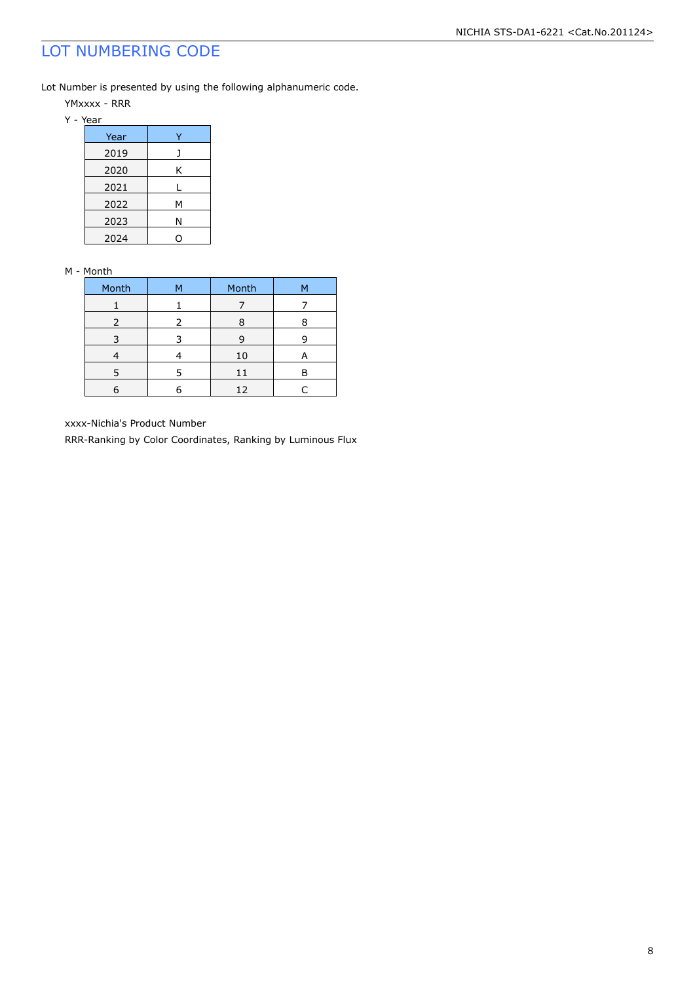# LOT NUMBERING CODE

Lot Number is presented by using the following alphanumeric code.

YMxxxx - RRR

| Year |   |
|------|---|
| 2019 |   |
| 2020 | Κ |
| 2021 |   |
| 2022 | М |
| 2023 | Ν |
| 2024 |   |

### M - Month

| Month         | м | Month | М |
|---------------|---|-------|---|
|               |   |       |   |
| $\mathcal{L}$ | 2 | Ω     |   |
|               |   | q     |   |
|               |   | 10    |   |
|               |   | 11    |   |
|               |   | 12    |   |

xxxx-Nichia's Product Number

RRR-Ranking by Color Coordinates, Ranking by Luminous Flux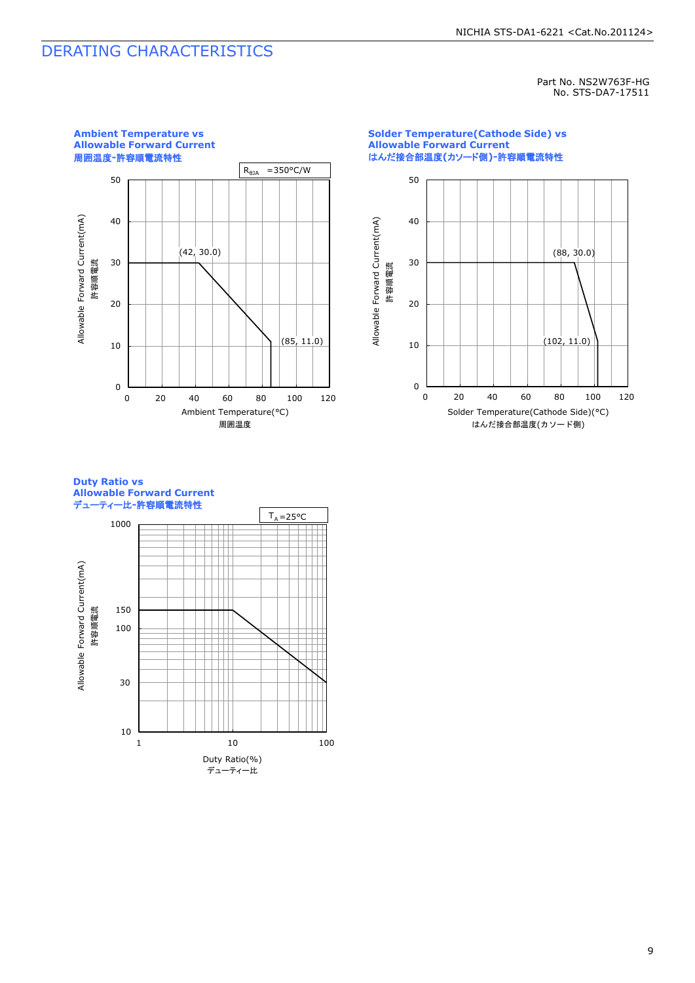# DERATING CHARACTERISTICS

Part No. NS2W763F-HG No. STS-DA7-17511



### **Solder Temperature(Cathode Side) vs Allowable Forward Current** はんだ接合部温度**(**カソード側**)-**許容順電流特性



### **Duty Ratio vs Allowable Forward Current** デューティー比**-**許容順電流特性

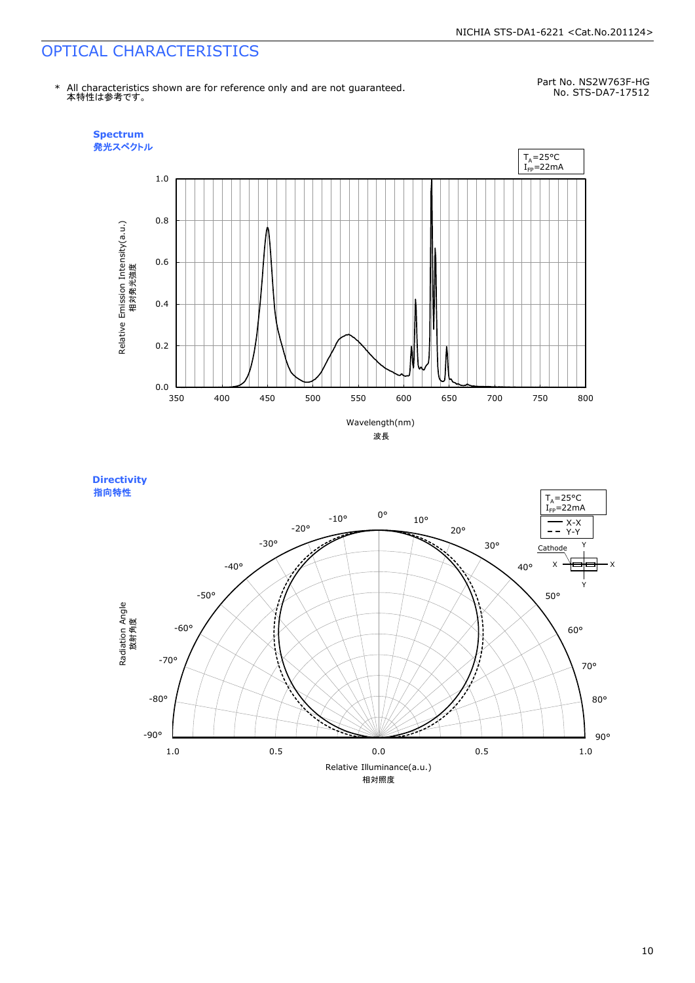# OPTICAL CHARACTERISTICS

No. STS-DA7-17512 \* All characteristics shown are for reference only and are not guaranteed. 本特性は参考です。

Part No. NS2W763F-HG



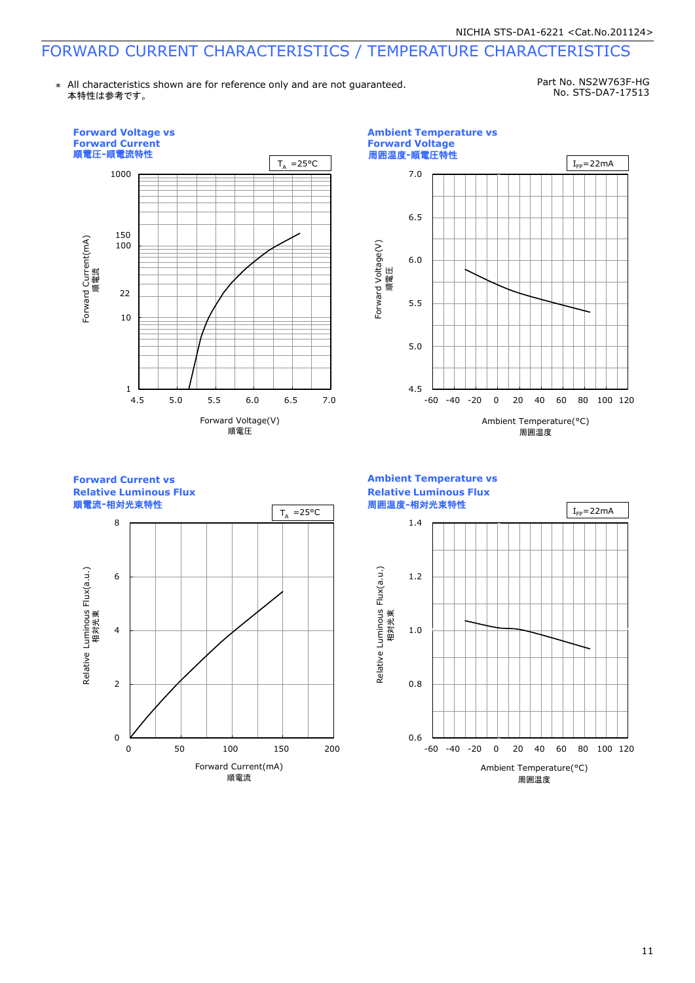# FORWARD CURRENT CHARACTERISTICS / TEMPERATURE CHARACTERISTICS

\* All characteristics shown are for reference only and are not guaranteed. 本特性は参考です。

Part No. NS2W763F-HG No. STS-DA7-17513

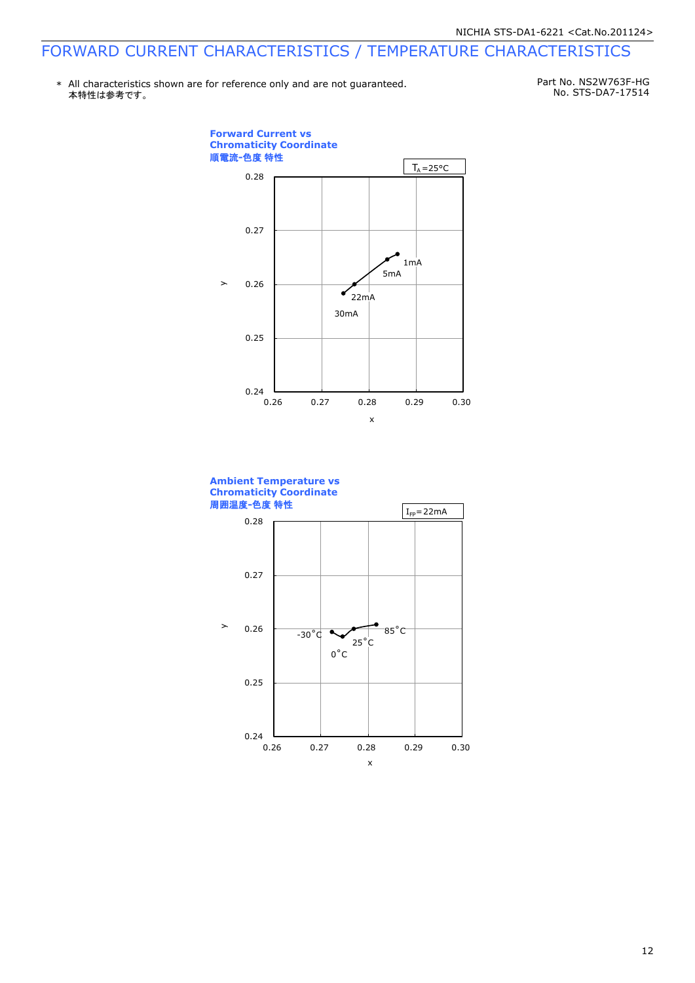# FORWARD CURRENT CHARACTERISTICS / TEMPERATURE CHARACTERISTICS

\* All characteristics shown are for reference only and are not guaranteed.本特性は参考です。

Part No. NS2W763F-HG No. STS-DA7-17514



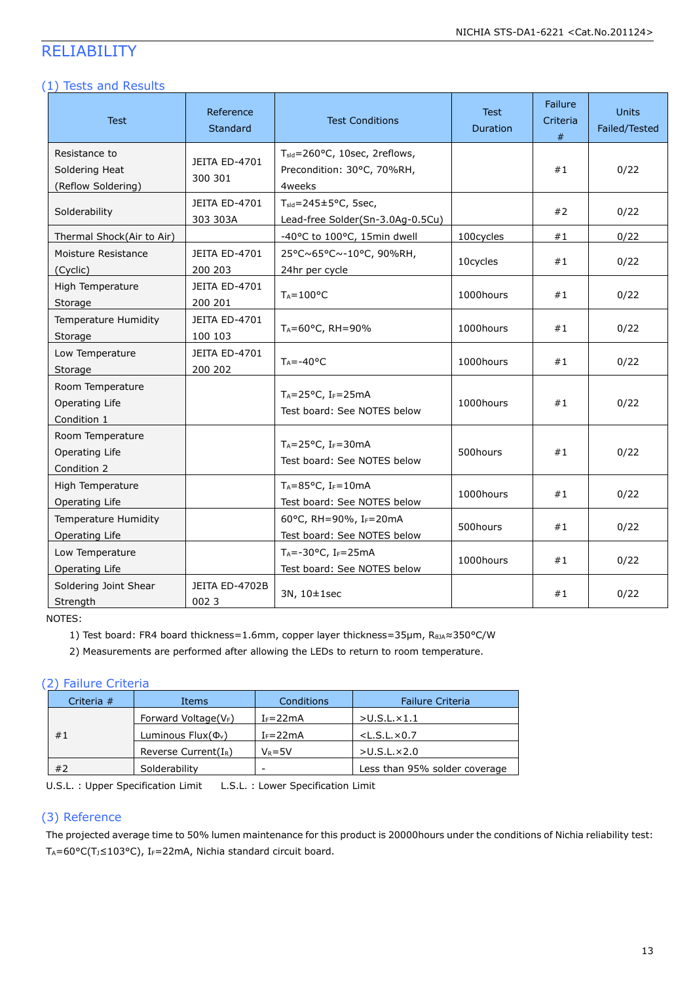# RELIABILITY

### (1) Tests and Results

| Test                                                  | Reference<br><b>Standard</b>    | <b>Test Conditions</b>                                                            | <b>Test</b><br>Duration | Failure<br>Criteria<br># | <b>Units</b><br>Failed/Tested |
|-------------------------------------------------------|---------------------------------|-----------------------------------------------------------------------------------|-------------------------|--------------------------|-------------------------------|
| Resistance to<br>Soldering Heat<br>(Reflow Soldering) | <b>JEITA ED-4701</b><br>300 301 | T <sub>sld</sub> =260°C, 10sec, 2reflows,<br>Precondition: 30°C, 70%RH,<br>4weeks |                         | #1                       | 0/22                          |
| Solderability                                         | JEITA ED-4701<br>303 303A       | $T_{\text{std}} = 245 \pm 5^{\circ}$ C, 5sec,<br>Lead-free Solder(Sn-3.0Ag-0.5Cu) |                         | #2                       | 0/22                          |
| Thermal Shock(Air to Air)                             |                                 | -40°C to 100°C, 15min dwell                                                       | 100cycles               | #1                       | 0/22                          |
| Moisture Resistance<br>(Cyclic)                       | <b>JEITA ED-4701</b><br>200 203 | 25°C~65°C~-10°C, 90%RH,<br>24hr per cycle                                         | 10cycles                | #1                       | 0/22                          |
| High Temperature<br>Storage                           | JEITA ED-4701<br>200 201        | $T_A = 100$ °C                                                                    | 1000hours               | #1                       | 0/22                          |
| <b>Temperature Humidity</b><br>Storage                | <b>JEITA ED-4701</b><br>100 103 | $T_A = 60^{\circ}$ C, RH=90%                                                      | 1000hours               | #1                       | 0/22                          |
| Low Temperature<br>Storage                            | JEITA ED-4701<br>200 202        | $T_A = -40$ °C                                                                    | 1000hours               | #1                       | 0/22                          |
| Room Temperature<br>Operating Life<br>Condition 1     |                                 | $T_A = 25$ °C, I <sub>F</sub> =25mA<br>Test board: See NOTES below                | 1000hours               | #1                       | 0/22                          |
| Room Temperature<br>Operating Life<br>Condition 2     |                                 | $T_A = 25$ °C, I <sub>F</sub> =30mA<br>Test board: See NOTES below                | 500hours                | #1                       | 0/22                          |
| High Temperature<br>Operating Life                    |                                 | $T_A = 85^{\circ}C$ , I <sub>F</sub> =10mA<br>Test board: See NOTES below         | 1000hours               | #1                       | 0/22                          |
| <b>Temperature Humidity</b><br>Operating Life         |                                 | 60°C, RH=90%, IF=20mA<br>Test board: See NOTES below                              | 500hours                | #1                       | 0/22                          |
| Low Temperature<br>Operating Life                     |                                 | $T_A = -30$ °C, I <sub>F</sub> =25mA<br>Test board: See NOTES below               | 1000hours               | #1                       | 0/22                          |
| Soldering Joint Shear<br>Strength                     | JEITA ED-4702B<br>0023          | 3N, 10±1sec                                                                       |                         | #1                       | 0/22                          |

NOTES:

1) Test board: FR4 board thickness=1.6mm, copper layer thickness=35µm, R<sub>θJA</sub>≈350°C/W

2) Measurements are performed after allowing the LEDs to return to room temperature.

### (2) Failure Criteria

| Criteria $#$        | Items                    |              | <b>Failure Criteria</b>       |
|---------------------|--------------------------|--------------|-------------------------------|
|                     | Forward Voltage( $V_F$ ) | $I_F = 22mA$ | $>$ U.S.L. $\times$ 1.1       |
| #1                  | Luminous $Flux(\Phi_v)$  | $I_F = 22mA$ | $<$ L.S.L. $\times$ 0.7       |
|                     | Reverse Current( $I_R$ ) | $V_R = 5V$   | $>$ U.S.L. $\times$ 2.0       |
| #2<br>Solderability |                          | -            | Less than 95% solder coverage |

U.S.L. : Upper Specification Limit L.S.L. : Lower Specification Limit

### (3) Reference

The projected average time to 50% lumen maintenance for this product is 20000hours under the conditions of Nichia reliability test: T<sub>A</sub>=60°C(T<sub>J</sub>≤103°C), I<sub>F</sub>=22mA, Nichia standard circuit board.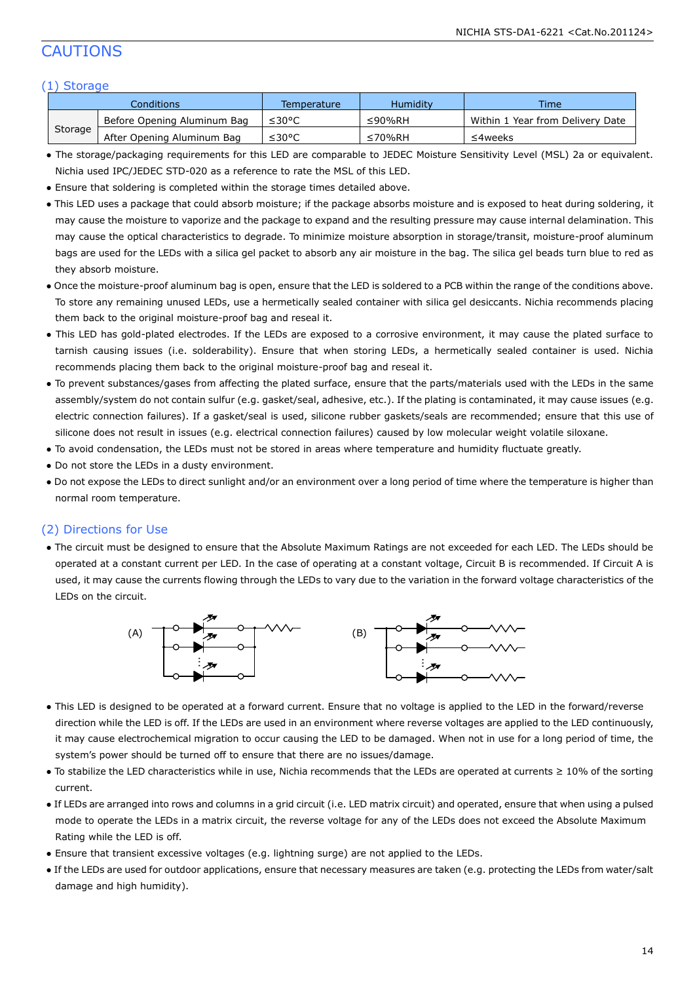# CAUTIONS

### (1) Storage

| Conditions |                             | Temperature | <b>Humidity</b> | Time                             |
|------------|-----------------------------|-------------|-----------------|----------------------------------|
| Storage    | Before Opening Aluminum Bag | ≤30°C       | ≤90%RH          | Within 1 Year from Delivery Date |
|            | After Opening Aluminum Bag  | ≤30°C       | ≤70%RH          | ≤4weeks                          |

- The storage/packaging requirements for this LED are comparable to JEDEC Moisture Sensitivity Level (MSL) 2a or equivalent. Nichia used IPC/JEDEC STD-020 as a reference to rate the MSL of this LED.
- Ensure that soldering is completed within the storage times detailed above.
- This LED uses a package that could absorb moisture; if the package absorbs moisture and is exposed to heat during soldering, it may cause the moisture to vaporize and the package to expand and the resulting pressure may cause internal delamination. This may cause the optical characteristics to degrade. To minimize moisture absorption in storage/transit, moisture-proof aluminum bags are used for the LEDs with a silica gel packet to absorb any air moisture in the bag. The silica gel beads turn blue to red as they absorb moisture.
- Once the moisture-proof aluminum bag is open, ensure that the LED is soldered to a PCB within the range of the conditions above. To store any remaining unused LEDs, use a hermetically sealed container with silica gel desiccants. Nichia recommends placing them back to the original moisture-proof bag and reseal it.
- This LED has gold-plated electrodes. If the LEDs are exposed to a corrosive environment, it may cause the plated surface to tarnish causing issues (i.e. solderability). Ensure that when storing LEDs, a hermetically sealed container is used. Nichia recommends placing them back to the original moisture-proof bag and reseal it.
- To prevent substances/gases from affecting the plated surface, ensure that the parts/materials used with the LEDs in the same assembly/system do not contain sulfur (e.g. gasket/seal, adhesive, etc.). If the plating is contaminated, it may cause issues (e.g. electric connection failures). If a gasket/seal is used, silicone rubber gaskets/seals are recommended; ensure that this use of silicone does not result in issues (e.g. electrical connection failures) caused by low molecular weight volatile siloxane.
- To avoid condensation, the LEDs must not be stored in areas where temperature and humidity fluctuate greatly.
- Do not store the LEDs in a dusty environment.
- Do not expose the LEDs to direct sunlight and/or an environment over a long period of time where the temperature is higher than normal room temperature.

### (2) Directions for Use

● The circuit must be designed to ensure that the Absolute Maximum Ratings are not exceeded for each LED. The LEDs should be operated at a constant current per LED. In the case of operating at a constant voltage, Circuit B is recommended. If Circuit A is used, it may cause the currents flowing through the LEDs to vary due to the variation in the forward voltage characteristics of the LEDs on the circuit.



- This LED is designed to be operated at a forward current. Ensure that no voltage is applied to the LED in the forward/reverse direction while the LED is off. If the LEDs are used in an environment where reverse voltages are applied to the LED continuously, it may cause electrochemical migration to occur causing the LED to be damaged. When not in use for a long period of time, the system's power should be turned off to ensure that there are no issues/damage.
- To stabilize the LED characteristics while in use, Nichia recommends that the LEDs are operated at currents ≥ 10% of the sorting current.
- If LEDs are arranged into rows and columns in a grid circuit (i.e. LED matrix circuit) and operated, ensure that when using a pulsed mode to operate the LEDs in a matrix circuit, the reverse voltage for any of the LEDs does not exceed the Absolute Maximum Rating while the LED is off.
- Ensure that transient excessive voltages (e.g. lightning surge) are not applied to the LEDs.
- If the LEDs are used for outdoor applications, ensure that necessary measures are taken (e.g. protecting the LEDs from water/salt damage and high humidity).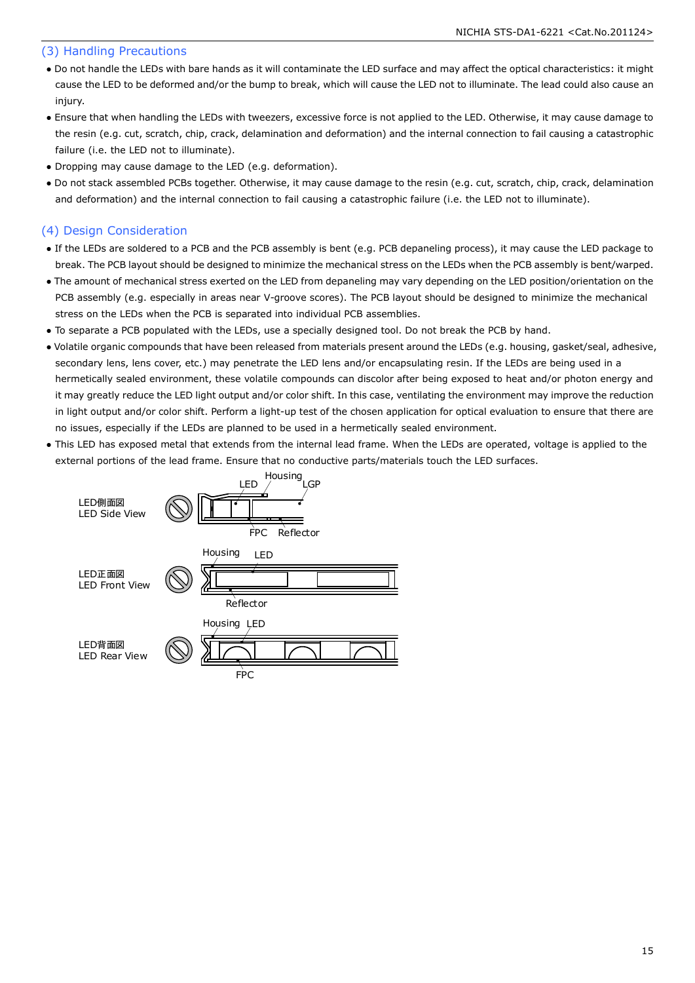### (3) Handling Precautions

- Do not handle the LEDs with bare hands as it will contaminate the LED surface and may affect the optical characteristics: it might cause the LED to be deformed and/or the bump to break, which will cause the LED not to illuminate. The lead could also cause an injury.
- Ensure that when handling the LEDs with tweezers, excessive force is not applied to the LED. Otherwise, it may cause damage to the resin (e.g. cut, scratch, chip, crack, delamination and deformation) and the internal connection to fail causing a catastrophic failure (i.e. the LED not to illuminate).
- Dropping may cause damage to the LED (e.g. deformation).
- Do not stack assembled PCBs together. Otherwise, it may cause damage to the resin (e.g. cut, scratch, chip, crack, delamination and deformation) and the internal connection to fail causing a catastrophic failure (i.e. the LED not to illuminate).

### (4) Design Consideration

- If the LEDs are soldered to a PCB and the PCB assembly is bent (e.g. PCB depaneling process), it may cause the LED package to break. The PCB layout should be designed to minimize the mechanical stress on the LEDs when the PCB assembly is bent/warped.
- The amount of mechanical stress exerted on the LED from depaneling may vary depending on the LED position/orientation on the PCB assembly (e.g. especially in areas near V-groove scores). The PCB layout should be designed to minimize the mechanical stress on the LEDs when the PCB is separated into individual PCB assemblies.
- To separate a PCB populated with the LEDs, use a specially designed tool. Do not break the PCB by hand.
- Volatile organic compounds that have been released from materials present around the LEDs (e.g. housing, gasket/seal, adhesive, secondary lens, lens cover, etc.) may penetrate the LED lens and/or encapsulating resin. If the LEDs are being used in a hermetically sealed environment, these volatile compounds can discolor after being exposed to heat and/or photon energy and it may greatly reduce the LED light output and/or color shift. In this case, ventilating the environment may improve the reduction in light output and/or color shift. Perform a light-up test of the chosen application for optical evaluation to ensure that there are no issues, especially if the LEDs are planned to be used in a hermetically sealed environment.
- This LED has exposed metal that extends from the internal lead frame. When the LEDs are operated, voltage is applied to the external portions of the lead frame. Ensure that no conductive parts/materials touch the LED surfaces.

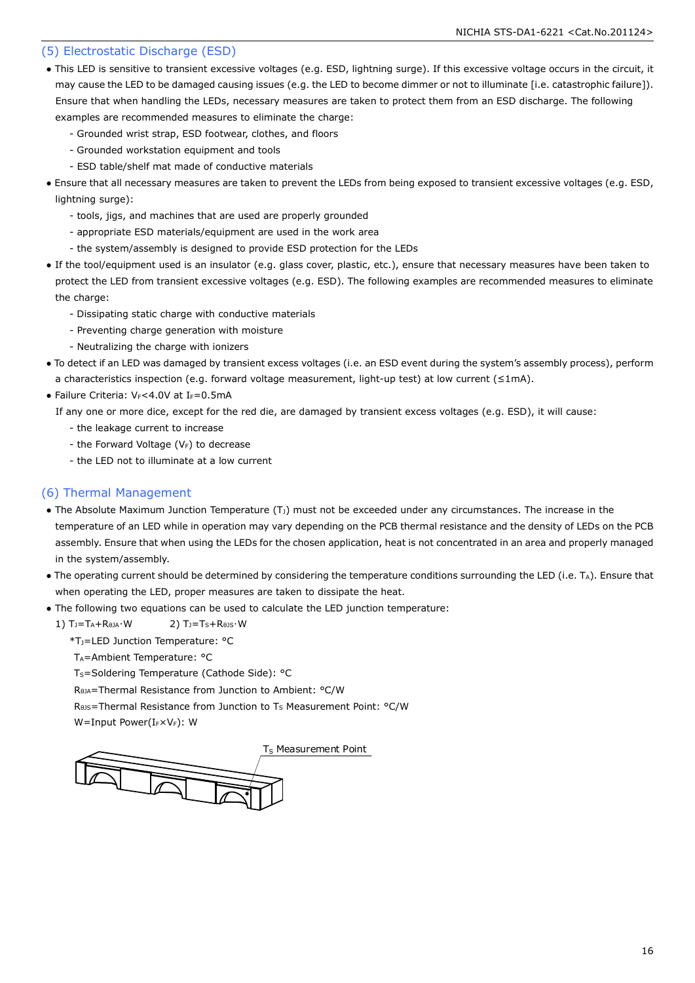### (5) Electrostatic Discharge (ESD)

- This LED is sensitive to transient excessive voltages (e.g. ESD, lightning surge). If this excessive voltage occurs in the circuit, it may cause the LED to be damaged causing issues (e.g. the LED to become dimmer or not to illuminate [i.e. catastrophic failure]). Ensure that when handling the LEDs, necessary measures are taken to protect them from an ESD discharge. The following examples are recommended measures to eliminate the charge:
	- Grounded wrist strap, ESD footwear, clothes, and floors
	- Grounded workstation equipment and tools
	- ESD table/shelf mat made of conductive materials
- Ensure that all necessary measures are taken to prevent the LEDs from being exposed to transient excessive voltages (e.g. ESD, lightning surge):
	- tools, jigs, and machines that are used are properly grounded
	- appropriate ESD materials/equipment are used in the work area
	- the system/assembly is designed to provide ESD protection for the LEDs
- If the tool/equipment used is an insulator (e.g. glass cover, plastic, etc.), ensure that necessary measures have been taken to protect the LED from transient excessive voltages (e.g. ESD). The following examples are recommended measures to eliminate the charge:
	- Dissipating static charge with conductive materials
	- Preventing charge generation with moisture
	- Neutralizing the charge with ionizers
- To detect if an LED was damaged by transient excess voltages (i.e. an ESD event during the system's assembly process), perform a characteristics inspection (e.g. forward voltage measurement, light-up test) at low current (≤1mA).
- Failure Criteria:  $V_F < 4.0V$  at I $_F = 0.5mA$

If any one or more dice, except for the red die, are damaged by transient excess voltages (e.g. ESD), it will cause:

- the leakage current to increase
- the Forward Voltage  $(V_F)$  to decrease
- the LED not to illuminate at a low current

### (6) Thermal Management

- The Absolute Maximum Junction Temperature  $(T<sub>J</sub>)$  must not be exceeded under any circumstances. The increase in the temperature of an LED while in operation may vary depending on the PCB thermal resistance and the density of LEDs on the PCB assembly. Ensure that when using the LEDs for the chosen application, heat is not concentrated in an area and properly managed in the system/assembly.
- The operating current should be determined by considering the temperature conditions surrounding the LED (i.e. TA). Ensure that when operating the LED, proper measures are taken to dissipate the heat.
- The following two equations can be used to calculate the LED junction temperature:
- 1)  $T_J = T_A + R_{\thetaJA} \cdot W$  2)  $T_J = T_S + R_{\thetaJs} \cdot W$ 
	- \*TJ=LED Junction Temperature: °C
	- T<sub>A</sub>=Ambient Temperature: °C
	- T<sub>S</sub>=Soldering Temperature (Cathode Side): °C

RθJA=Thermal Resistance from Junction to Ambient: °C/W

R<sub>0JS</sub>=Thermal Resistance from Junction to T<sub>S</sub> Measurement Point: °C/W

W=Input Power(IFXVF): W